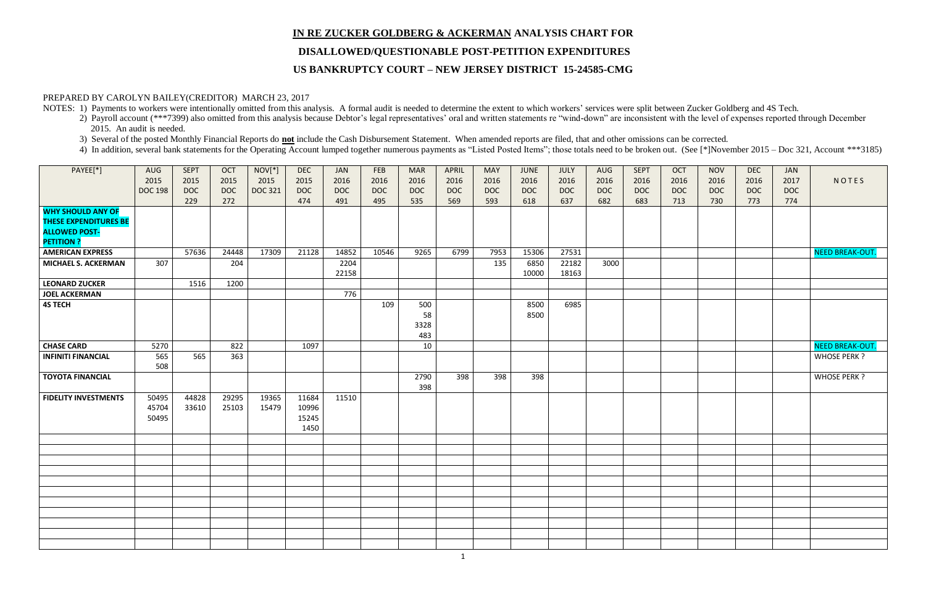# **IN RE ZUCKER GOLDBERG & ACKERMAN ANALYSIS CHART FOR DISALLOWED/QUESTIONABLE POST-PETITION EXPENDITURES US BANKRUPTCY COURT – NEW JERSEY DISTRICT 15-24585-CMG**

#### PREPARED BY CAROLYN BAILEY(CREDITOR) MARCH 23, 2017

NOTES: 1) Payments to workers were intentionally omitted from this analysis. A formal audit is needed to determine the extent to which workers' services were split between Zucker Goldberg and 4S Tech.

- 2) Payroll account (\*\*\*7399) also omitted from this analysis because Debtor's legal representatives' oral and written statements re "wind-down" are inconsistent with the level of expenses reported through December 2015. An audit is needed.
- 3) Several of the posted Monthly Financial Reports do **not** include the Cash Disbursement Statement. When amended reports are filed, that and other omissions can be corrected.
- 4) In addition, several bank statements for the Operating Account lumped together numerous payments as "Listed Posted Items"; those totals need to be broken out. (See [\*]November 2015 Doc 321, Account \*\*\*3185)

| T:<br>L6<br>С<br>3 | <b>NOV</b><br>2016<br><b>DOC</b><br>730 | <b>DEC</b><br>2016<br><b>DOC</b><br>773 | JAN<br>2017<br><b>DOC</b><br>774 | NOTES                  |
|--------------------|-----------------------------------------|-----------------------------------------|----------------------------------|------------------------|
|                    |                                         |                                         |                                  |                        |
|                    |                                         |                                         |                                  | <b>NEED BREAK-OUT.</b> |
|                    |                                         |                                         |                                  |                        |
|                    |                                         |                                         |                                  |                        |
|                    |                                         |                                         |                                  |                        |
|                    |                                         |                                         |                                  |                        |
|                    |                                         |                                         |                                  | <b>NEED BREAK-OUT.</b> |
|                    |                                         |                                         |                                  | <b>WHOSE PERK ?</b>    |
|                    |                                         |                                         |                                  | <b>WHOSE PERK ?</b>    |
|                    |                                         |                                         |                                  |                        |
|                    |                                         |                                         |                                  |                        |
|                    |                                         |                                         |                                  |                        |
|                    |                                         |                                         |                                  |                        |
|                    |                                         |                                         |                                  |                        |
|                    |                                         |                                         |                                  |                        |
|                    |                                         |                                         |                                  |                        |
|                    |                                         |                                         |                                  |                        |
|                    |                                         |                                         |                                  |                        |
|                    |                                         |                                         |                                  |                        |
|                    |                                         |                                         |                                  |                        |
|                    |                                         |                                         |                                  |                        |

| PAYEE[*]                                                                         | AUG<br>2015<br><b>DOC 198</b> | <b>SEPT</b><br>2015<br><b>DOC</b> | OCT<br>2015<br><b>DOC</b> | $NOV[*]$<br>2015<br><b>DOC 321</b> | <b>DEC</b><br>2015<br><b>DOC</b> | <b>JAN</b><br>2016<br><b>DOC</b> | FEB<br>2016<br><b>DOC</b> | <b>MAR</b><br>2016<br><b>DOC</b> | APRIL<br>2016<br><b>DOC</b> | <b>MAY</b><br>2016<br><b>DOC</b> | <b>JUNE</b><br>2016<br><b>DOC</b> | JULY<br>2016<br><b>DOC</b> | <b>AUG</b><br>2016<br><b>DOC</b> | <b>SEPT</b><br>2016<br><b>DOC</b> | OCT<br>2016<br><b>DOC</b> | <b>NOV</b><br>2016<br><b>DOC</b> | <b>DEC</b><br>2016<br><b>DOC</b> | JAN<br>2017<br><b>DOC</b> | NOTES                  |
|----------------------------------------------------------------------------------|-------------------------------|-----------------------------------|---------------------------|------------------------------------|----------------------------------|----------------------------------|---------------------------|----------------------------------|-----------------------------|----------------------------------|-----------------------------------|----------------------------|----------------------------------|-----------------------------------|---------------------------|----------------------------------|----------------------------------|---------------------------|------------------------|
|                                                                                  |                               | 229                               | 272                       |                                    | 474                              | 491                              | 495                       | 535                              | 569                         | 593                              | 618                               | 637                        | 682                              | 683                               | 713                       | 730                              | 773                              | 774                       |                        |
| <b>WHY SHOULD ANY OF</b><br><b>THESE EXPENDITURES BE</b><br><b>ALLOWED POST-</b> |                               |                                   |                           |                                    |                                  |                                  |                           |                                  |                             |                                  |                                   |                            |                                  |                                   |                           |                                  |                                  |                           |                        |
| <b>PETITION ?</b>                                                                |                               |                                   |                           |                                    |                                  |                                  |                           |                                  |                             |                                  |                                   |                            |                                  |                                   |                           |                                  |                                  |                           |                        |
| <b>AMERICAN EXPRESS</b>                                                          |                               | 57636                             | 24448                     | 17309                              | 21128                            | 14852                            | 10546                     | 9265                             | 6799                        | 7953                             | 15306                             | 27531                      |                                  |                                   |                           |                                  |                                  |                           | <b>NEED BREAK-OUT.</b> |
| <b>MICHAEL S. ACKERMAN</b>                                                       | 307                           |                                   | 204                       |                                    |                                  | 2204<br>22158                    |                           |                                  |                             | 135                              | 6850<br>10000                     | 22182<br>18163             | 3000                             |                                   |                           |                                  |                                  |                           |                        |
| <b>LEONARD ZUCKER</b>                                                            |                               | 1516                              | 1200                      |                                    |                                  |                                  |                           |                                  |                             |                                  |                                   |                            |                                  |                                   |                           |                                  |                                  |                           |                        |
| <b>JOEL ACKERMAN</b>                                                             |                               |                                   |                           |                                    |                                  | 776                              |                           |                                  |                             |                                  |                                   |                            |                                  |                                   |                           |                                  |                                  |                           |                        |
| <b>4S TECH</b>                                                                   |                               |                                   |                           |                                    |                                  |                                  | 109                       | 500<br>58                        |                             |                                  | 8500<br>8500                      | 6985                       |                                  |                                   |                           |                                  |                                  |                           |                        |
|                                                                                  |                               |                                   |                           |                                    |                                  |                                  |                           | 3328<br>483                      |                             |                                  |                                   |                            |                                  |                                   |                           |                                  |                                  |                           |                        |
| <b>CHASE CARD</b>                                                                | 5270                          |                                   | 822                       |                                    | 1097                             |                                  |                           | 10                               |                             |                                  |                                   |                            |                                  |                                   |                           |                                  |                                  |                           | <b>NEED BREAK-OUT.</b> |
| <b>INFINITI FINANCIAL</b>                                                        | 565<br>508                    | 565                               | 363                       |                                    |                                  |                                  |                           |                                  |                             |                                  |                                   |                            |                                  |                                   |                           |                                  |                                  |                           | WHOSE PERK ?           |
| <b>TOYOTA FINANCIAL</b>                                                          |                               |                                   |                           |                                    |                                  |                                  |                           | 2790<br>398                      | 398                         | 398                              | 398                               |                            |                                  |                                   |                           |                                  |                                  |                           | WHOSE PERK ?           |
| <b>FIDELITY INVESTMENTS</b>                                                      | 50495<br>45704<br>50495       | 44828<br>33610                    | 29295<br>25103            | 19365<br>15479                     | 11684<br>10996<br>15245<br>1450  | 11510                            |                           |                                  |                             |                                  |                                   |                            |                                  |                                   |                           |                                  |                                  |                           |                        |
|                                                                                  |                               |                                   |                           |                                    |                                  |                                  |                           |                                  |                             |                                  |                                   |                            |                                  |                                   |                           |                                  |                                  |                           |                        |
|                                                                                  |                               |                                   |                           |                                    |                                  |                                  |                           |                                  |                             |                                  |                                   |                            |                                  |                                   |                           |                                  |                                  |                           |                        |
|                                                                                  |                               |                                   |                           |                                    |                                  |                                  |                           |                                  |                             |                                  |                                   |                            |                                  |                                   |                           |                                  |                                  |                           |                        |
|                                                                                  |                               |                                   |                           |                                    |                                  |                                  |                           |                                  |                             |                                  |                                   |                            |                                  |                                   |                           |                                  |                                  |                           |                        |
|                                                                                  |                               |                                   |                           |                                    |                                  |                                  |                           |                                  |                             |                                  |                                   |                            |                                  |                                   |                           |                                  |                                  |                           |                        |
|                                                                                  |                               |                                   |                           |                                    |                                  |                                  |                           |                                  |                             |                                  |                                   |                            |                                  |                                   |                           |                                  |                                  |                           |                        |
|                                                                                  |                               |                                   |                           |                                    |                                  |                                  |                           |                                  |                             |                                  |                                   |                            |                                  |                                   |                           |                                  |                                  |                           |                        |
|                                                                                  |                               |                                   |                           |                                    |                                  |                                  |                           |                                  |                             |                                  |                                   |                            |                                  |                                   |                           |                                  |                                  |                           |                        |
|                                                                                  |                               |                                   |                           |                                    |                                  |                                  |                           |                                  |                             |                                  |                                   |                            |                                  |                                   |                           |                                  |                                  |                           |                        |
|                                                                                  |                               |                                   |                           |                                    |                                  |                                  |                           |                                  |                             |                                  |                                   |                            |                                  |                                   |                           |                                  |                                  |                           |                        |
|                                                                                  |                               |                                   |                           |                                    |                                  |                                  |                           |                                  |                             |                                  |                                   |                            |                                  |                                   |                           |                                  |                                  |                           |                        |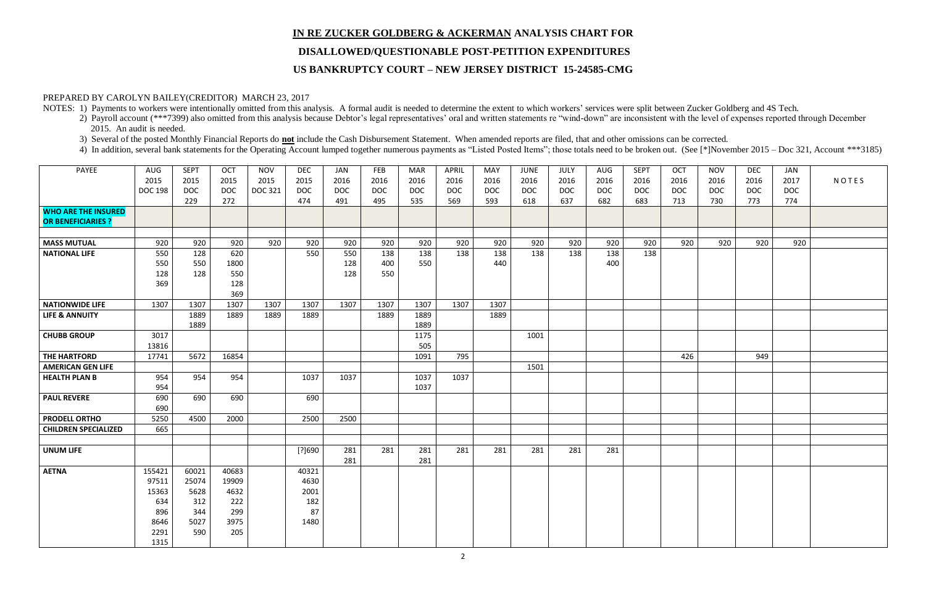# **IN RE ZUCKER GOLDBERG & ACKERMAN ANALYSIS CHART FOR DISALLOWED/QUESTIONABLE POST-PETITION EXPENDITURES**

### **US BANKRUPTCY COURT – NEW JERSEY DISTRICT 15-24585-CMG**

### PREPARED BY CAROLYN BAILEY(CREDITOR) MARCH 23, 2017

NOTES: 1) Payments to workers were intentionally omitted from this analysis. A formal audit is needed to determine the extent to which workers' services were split between Zucker Goldberg and 4S Tech.

- 2) Payroll account (\*\*\*7399) also omitted from this analysis because Debtor's legal representatives' oral and written statements re "wind-down" are inconsistent with the level of expenses reported through December 2015. An audit is needed.
- 3) Several of the posted Monthly Financial Reports do **not** include the Cash Disbursement Statement. When amended reports are filed, that and other omissions can be corrected.
- 4) In addition, several bank statements for the Operating Account lumped together numerous payments as "Listed Posted Items"; those totals need to be broken out. (See [\*]November 2015 Doc 321, Account \*\*\*3185)

| PAYEE                                                   | AUG<br>2015<br><b>DOC 198</b> | <b>SEPT</b><br>2015<br><b>DOC</b> | OCT<br>2015<br><b>DOC</b> | <b>NOV</b><br>2015<br><b>DOC 321</b> | <b>DEC</b><br>2015<br><b>DOC</b> | JAN<br>2016<br><b>DOC</b> | FEB<br>2016<br><b>DOC</b> | <b>MAR</b><br>2016<br><b>DOC</b> | APRIL<br>2016<br><b>DOC</b> | MAY<br>2016<br><b>DOC</b> | <b>JUNE</b><br>2016<br><b>DOC</b> | JULY<br>2016<br><b>DOC</b> | AUG<br>2016<br><b>DOC</b> | <b>SEPT</b><br>2016<br><b>DOC</b> | OCT<br>2016<br><b>DOC</b> | <b>NOV</b><br>2016<br><b>DOC</b> | <b>DEC</b><br>2016<br><b>DOC</b> | JAN<br>2017<br><b>DOC</b> | NOTES |
|---------------------------------------------------------|-------------------------------|-----------------------------------|---------------------------|--------------------------------------|----------------------------------|---------------------------|---------------------------|----------------------------------|-----------------------------|---------------------------|-----------------------------------|----------------------------|---------------------------|-----------------------------------|---------------------------|----------------------------------|----------------------------------|---------------------------|-------|
|                                                         |                               | 229                               | 272                       |                                      | 474                              | 491                       | 495                       | 535                              | 569                         | 593                       | 618                               | 637                        | 682                       | 683                               | 713                       | 730                              | 773                              | 774                       |       |
| <b>WHO ARE THE INSURED</b><br><b>OR BENEFICIARIES ?</b> |                               |                                   |                           |                                      |                                  |                           |                           |                                  |                             |                           |                                   |                            |                           |                                   |                           |                                  |                                  |                           |       |
| <b>MASS MUTUAL</b>                                      | 920                           | 920                               | 920                       | 920                                  | 920                              | 920                       | 920                       | 920                              | 920                         | 920                       | 920                               | 920                        | 920                       | 920                               | 920                       | 920                              | 920                              | 920                       |       |
| <b>NATIONAL LIFE</b>                                    | 550                           | 128                               | 620                       |                                      | 550                              | 550                       | 138                       | 138                              | 138                         | 138                       | 138                               | 138                        | 138                       | 138                               |                           |                                  |                                  |                           |       |
|                                                         | 550                           | 550                               | 1800                      |                                      |                                  | 128                       | 400                       | 550                              |                             | 440                       |                                   |                            | 400                       |                                   |                           |                                  |                                  |                           |       |
|                                                         | 128                           | 128                               | 550                       |                                      |                                  | 128                       | 550                       |                                  |                             |                           |                                   |                            |                           |                                   |                           |                                  |                                  |                           |       |
|                                                         | 369                           |                                   | 128                       |                                      |                                  |                           |                           |                                  |                             |                           |                                   |                            |                           |                                   |                           |                                  |                                  |                           |       |
|                                                         |                               |                                   | 369                       |                                      |                                  |                           |                           |                                  |                             |                           |                                   |                            |                           |                                   |                           |                                  |                                  |                           |       |
| <b>NATIONWIDE LIFE</b>                                  | 1307                          | 1307                              | 1307                      | 1307                                 | 1307                             | 1307                      | 1307                      | 1307                             | 1307                        | 1307                      |                                   |                            |                           |                                   |                           |                                  |                                  |                           |       |
| <b>LIFE &amp; ANNUITY</b>                               |                               | 1889                              | 1889                      | 1889                                 | 1889                             |                           | 1889                      | 1889                             |                             | 1889                      |                                   |                            |                           |                                   |                           |                                  |                                  |                           |       |
|                                                         |                               | 1889                              |                           |                                      |                                  |                           |                           | 1889                             |                             |                           |                                   |                            |                           |                                   |                           |                                  |                                  |                           |       |
| <b>CHUBB GROUP</b>                                      | 3017                          |                                   |                           |                                      |                                  |                           |                           | 1175                             |                             |                           | 1001                              |                            |                           |                                   |                           |                                  |                                  |                           |       |
|                                                         | 13816                         |                                   |                           |                                      |                                  |                           |                           | 505                              |                             |                           |                                   |                            |                           |                                   |                           |                                  |                                  |                           |       |
| THE HARTFORD                                            | 17741                         | 5672                              | 16854                     |                                      |                                  |                           |                           | 1091                             | 795                         |                           |                                   |                            |                           |                                   | 426                       |                                  | 949                              |                           |       |
| <b>AMERICAN GEN LIFE</b>                                |                               |                                   |                           |                                      |                                  |                           |                           |                                  |                             |                           | 1501                              |                            |                           |                                   |                           |                                  |                                  |                           |       |
| <b>HEALTH PLAN B</b>                                    | 954<br>954                    | 954                               | 954                       |                                      | 1037                             | 1037                      |                           | 1037<br>1037                     | 1037                        |                           |                                   |                            |                           |                                   |                           |                                  |                                  |                           |       |
| <b>PAUL REVERE</b>                                      | 690                           | 690                               | 690                       |                                      | 690                              |                           |                           |                                  |                             |                           |                                   |                            |                           |                                   |                           |                                  |                                  |                           |       |
|                                                         | 690                           |                                   |                           |                                      |                                  |                           |                           |                                  |                             |                           |                                   |                            |                           |                                   |                           |                                  |                                  |                           |       |
| <b>PRODELL ORTHO</b>                                    | 5250                          | 4500                              | 2000                      |                                      | 2500                             | 2500                      |                           |                                  |                             |                           |                                   |                            |                           |                                   |                           |                                  |                                  |                           |       |
| <b>CHILDREN SPECIALIZED</b>                             | 665                           |                                   |                           |                                      |                                  |                           |                           |                                  |                             |                           |                                   |                            |                           |                                   |                           |                                  |                                  |                           |       |
|                                                         |                               |                                   |                           |                                      |                                  |                           |                           |                                  |                             |                           |                                   |                            |                           |                                   |                           |                                  |                                  |                           |       |
| <b>UNUM LIFE</b>                                        |                               |                                   |                           |                                      | [?]690                           | 281                       | 281                       | 281                              | 281                         | 281                       | 281                               | 281                        | 281                       |                                   |                           |                                  |                                  |                           |       |
|                                                         |                               |                                   |                           |                                      |                                  | 281                       |                           | 281                              |                             |                           |                                   |                            |                           |                                   |                           |                                  |                                  |                           |       |
| <b>AETNA</b>                                            | 155421                        | 60021                             | 40683                     |                                      | 40321                            |                           |                           |                                  |                             |                           |                                   |                            |                           |                                   |                           |                                  |                                  |                           |       |
|                                                         | 97511                         | 25074                             | 19909                     |                                      | 4630                             |                           |                           |                                  |                             |                           |                                   |                            |                           |                                   |                           |                                  |                                  |                           |       |
|                                                         | 15363                         | 5628                              | 4632                      |                                      | 2001                             |                           |                           |                                  |                             |                           |                                   |                            |                           |                                   |                           |                                  |                                  |                           |       |
|                                                         | 634                           | 312                               | 222                       |                                      | 182                              |                           |                           |                                  |                             |                           |                                   |                            |                           |                                   |                           |                                  |                                  |                           |       |
|                                                         | 896                           | 344                               | 299                       |                                      | 87                               |                           |                           |                                  |                             |                           |                                   |                            |                           |                                   |                           |                                  |                                  |                           |       |
|                                                         | 8646                          | 5027                              | 3975                      |                                      | 1480                             |                           |                           |                                  |                             |                           |                                   |                            |                           |                                   |                           |                                  |                                  |                           |       |
|                                                         | 2291                          | 590                               | 205                       |                                      |                                  |                           |                           |                                  |                             |                           |                                   |                            |                           |                                   |                           |                                  |                                  |                           |       |
|                                                         | 1315                          |                                   |                           |                                      |                                  |                           |                           |                                  |                             |                           |                                   |                            |                           |                                   |                           |                                  |                                  |                           |       |